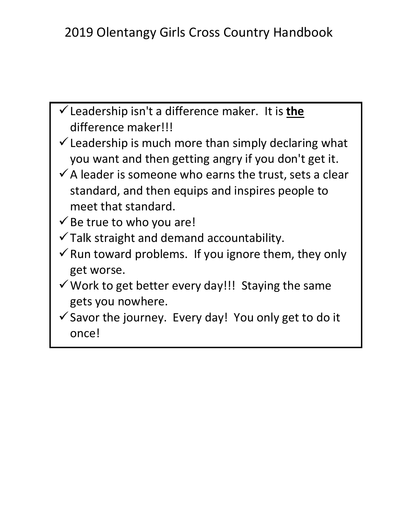- ✓Leadership isn't a difference maker. It is **the** difference maker!!!
- $\checkmark$  Leadership is much more than simply declaring what you want and then getting angry if you don't get it.
- $\checkmark$  A leader is someone who earns the trust, sets a clear standard, and then equips and inspires people to meet that standard.
- $\checkmark$  Be true to who you are!
- $\checkmark$  Talk straight and demand accountability.
- $\checkmark$  Run toward problems. If you ignore them, they only get worse.
- $\checkmark$  Work to get better every day!!! Staying the same gets you nowhere.
- $\checkmark$  Savor the journey. Every day! You only get to do it once!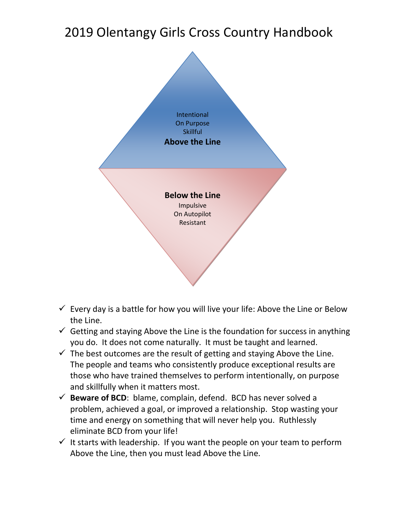# 2019 Olentangy Girls Cross Country Handbook



- $\checkmark$  Every day is a battle for how you will live your life: Above the Line or Below the Line.
- $\checkmark$  Getting and staying Above the Line is the foundation for success in anything you do. It does not come naturally. It must be taught and learned.
- $\checkmark$  The best outcomes are the result of getting and staying Above the Line. The people and teams who consistently produce exceptional results are those who have trained themselves to perform intentionally, on purpose and skillfully when it matters most.
- $\checkmark$  **Beware of BCD**: blame, complain, defend. BCD has never solved a problem, achieved a goal, or improved a relationship. Stop wasting your time and energy on something that will never help you. Ruthlessly eliminate BCD from your life!
- $\checkmark$  It starts with leadership. If you want the people on your team to perform Above the Line, then you must lead Above the Line.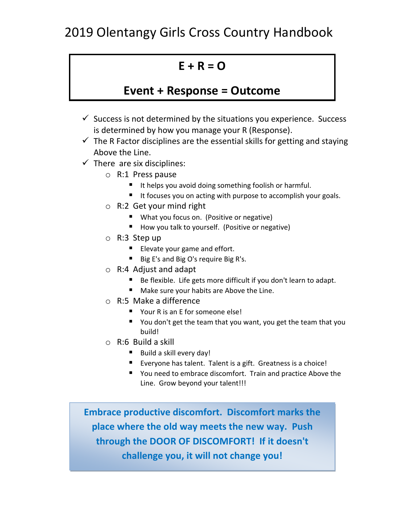### **E + R = O**

#### **Event + Response = Outcome**

- $\checkmark$  Success is not determined by the situations you experience. Success is determined by how you manage your R (Response).
- $\checkmark$  The R Factor disciplines are the essential skills for getting and staying Above the Line.
- $\checkmark$  There are six disciplines:
	- o R:1 Press pause
		- It helps you avoid doing something foolish or harmful.
		- It focuses you on acting with purpose to accomplish your goals.
	- o R:2 Get your mind right
		- What you focus on. (Positive or negative)
		- How you talk to yourself. (Positive or negative)
	- o R:3 Step up
		- Elevate your game and effort.
		- Big E's and Big O's require Big R's.
	- o R:4 Adjust and adapt
		- Be flexible. Life gets more difficult if you don't learn to adapt.
		- Make sure your habits are Above the Line.
	- o R:5 Make a difference
		- Your R is an E for someone else!
		- You don't get the team that you want, you get the team that you build!
	- o R:6 Build a skill
		- Build a skill every day!
		- Everyone has talent. Talent is a gift. Greatness is a choice!
		- You need to embrace discomfort. Train and practice Above the Line. Grow beyond your talent!!!

**Embrace productive discomfort. Discomfort marks the place where the old way meets the new way. Push through the DOOR OF DISCOMFORT! If it doesn't challenge you, it will not change you!**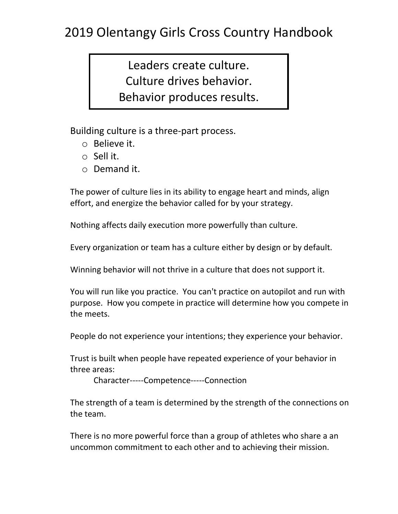## 2019 Olentangy Girls Cross Country Handbook

Leaders create culture. Culture drives behavior. Behavior produces results.

Building culture is a three-part process.

- o Believe it.
- o Sell it.
- o Demand it.

The power of culture lies in its ability to engage heart and minds, align effort, and energize the behavior called for by your strategy.

Nothing affects daily execution more powerfully than culture.

Every organization or team has a culture either by design or by default.

Winning behavior will not thrive in a culture that does not support it.

You will run like you practice. You can't practice on autopilot and run with purpose. How you compete in practice will determine how you compete in the meets.

People do not experience your intentions; they experience your behavior.

Trust is built when people have repeated experience of your behavior in three areas:

Character-----Competence-----Connection

The strength of a team is determined by the strength of the connections on the team.

There is no more powerful force than a group of athletes who share a an uncommon commitment to each other and to achieving their mission.